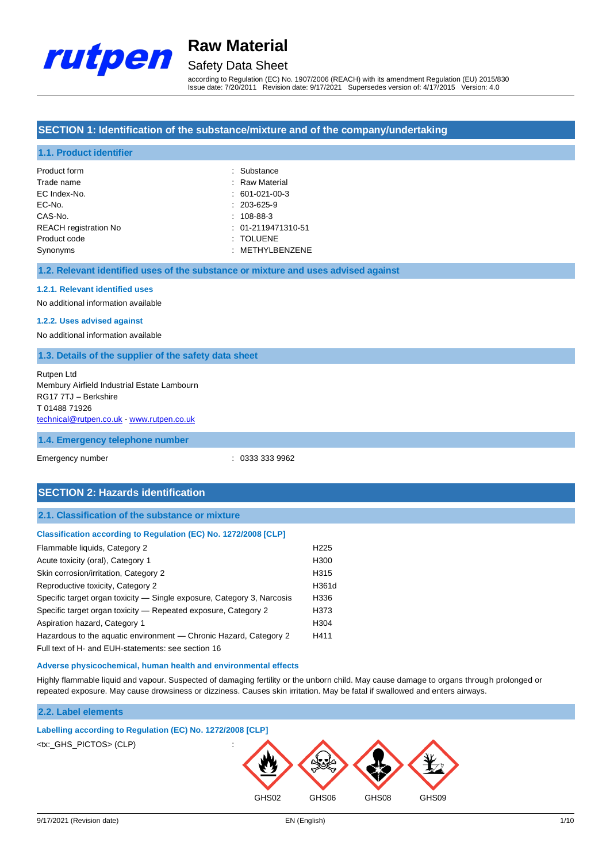

# Safety Data Sheet

according to Regulation (EC) No. 1907/2006 (REACH) with its amendment Regulation (EU) 2015/830 Issue date: 7/20/2011 Revision date: 9/17/2021 Supersedes version of: 4/17/2015 Version: 4.0

### **SECTION 1: Identification of the substance/mixture and of the company/undertaking**

### **1.1. Product identifier**

| Product form                 | : Substance          |
|------------------------------|----------------------|
| Trade name                   | : Raw Material       |
| EC Index-No.                 | $: 601-021-00-3$     |
| EC-No.                       | $: 203 - 625 - 9$    |
| CAS-No.                      | $: 108-88-3$         |
| <b>REACH</b> registration No | $: 01-2119471310-51$ |
| Product code                 | : TOLUENE            |
| Synonyms                     | : METHYLBENZENE      |

#### **1.2. Relevant identified uses of the substance or mixture and uses advised against**

### **1.2.1. Relevant identified uses**

No additional information available

### **1.2.2. Uses advised against**

No additional information available

#### **1.3. Details of the supplier of the safety data sheet**

### Rutpen Ltd Membury Airfield Industrial Estate Lambourn RG17 7TJ – Berkshire T 01488 71926 [technical@rutpen.co.uk](mailto:technical@rutpen.co.uk) - [www.rutpen.co.uk](http://www.rutpen.co.uk/)

#### **1.4. Emergency telephone number**

Emergency number : 0333 333 9962

## **SECTION 2: Hazards identification**

#### **2.1. Classification of the substance or mixture**

| Classification according to Regulation (EC) No. 1272/2008 [CLP] |  |  |  |
|-----------------------------------------------------------------|--|--|--|

| Flammable liquids, Category 2                                          | H <sub>225</sub> |
|------------------------------------------------------------------------|------------------|
| Acute toxicity (oral), Category 1                                      | H300             |
| Skin corrosion/irritation, Category 2                                  | H315             |
| Reproductive toxicity, Category 2                                      | H361d            |
| Specific target organ toxicity — Single exposure, Category 3, Narcosis | H336             |
| Specific target organ toxicity – Repeated exposure, Category 2         | H373             |
| Aspiration hazard, Category 1                                          | H304             |
| Hazardous to the aquatic environment — Chronic Hazard, Category 2      | H411             |
| Full text of H- and EUH-statements: see section 16                     |                  |

### **Adverse physicochemical, human health and environmental effects**

Highly flammable liquid and vapour. Suspected of damaging fertility or the unborn child. May cause damage to organs through prolonged or repeated exposure. May cause drowsiness or dizziness. Causes skin irritation. May be fatal if swallowed and enters airways.

### **2.2. Label elements**

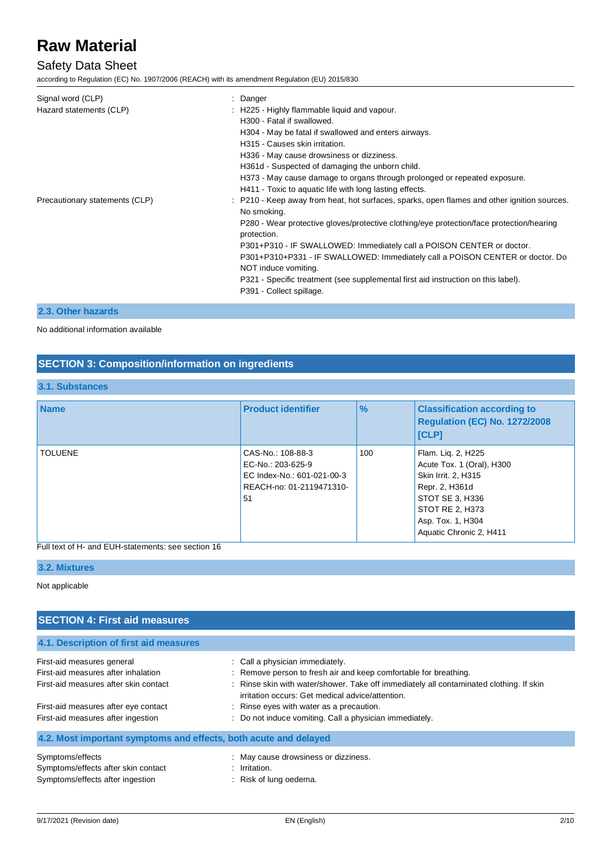## Safety Data Sheet

according to Regulation (EC) No. 1907/2006 (REACH) with its amendment Regulation (EU) 2015/830

| Signal word (CLP)<br>Hazard statements (CLP) | Danger<br>: H225 - Highly flammable liquid and vapour.<br>H300 - Fatal if swallowed.<br>H304 - May be fatal if swallowed and enters airways.<br>H315 - Causes skin irritation.<br>H336 - May cause drowsiness or dizziness.                                                                                                                                                                                |
|----------------------------------------------|------------------------------------------------------------------------------------------------------------------------------------------------------------------------------------------------------------------------------------------------------------------------------------------------------------------------------------------------------------------------------------------------------------|
| Precautionary statements (CLP)               | H361d - Suspected of damaging the unborn child.<br>H373 - May cause damage to organs through prolonged or repeated exposure.<br>H411 - Toxic to aquatic life with long lasting effects.<br>: P210 - Keep away from heat, hot surfaces, sparks, open flames and other ignition sources.<br>No smoking.                                                                                                      |
|                                              | P280 - Wear protective gloves/protective clothing/eye protection/face protection/hearing<br>protection.<br>P301+P310 - IF SWALLOWED: Immediately call a POISON CENTER or doctor.<br>P301+P310+P331 - IF SWALLOWED: Immediately call a POISON CENTER or doctor. Do<br>NOT induce vomiting.<br>P321 - Specific treatment (see supplemental first aid instruction on this label).<br>P391 - Collect spillage. |

## **2.3. Other hazards**

## No additional information available

## **SECTION 3: Composition/information on ingredients**

## **3.1. Substances**

| <b>Name</b>    | <b>Product identifier</b>                                                                              | $\frac{9}{6}$ | <b>Classification according to</b><br>Regulation (EC) No. 1272/2008<br>[CLP]                                                                                                   |
|----------------|--------------------------------------------------------------------------------------------------------|---------------|--------------------------------------------------------------------------------------------------------------------------------------------------------------------------------|
| <b>TOLUENE</b> | CAS-No.: 108-88-3<br>EC-No.: 203-625-9<br>EC Index-No.: 601-021-00-3<br>REACH-no: 01-2119471310-<br>51 | 100           | Flam. Lig. 2, H225<br>Acute Tox. 1 (Oral), H300<br>Skin Irrit. 2, H315<br>Repr. 2, H361d<br>STOT SE 3, H336<br>STOT RE 2, H373<br>Asp. Tox. 1, H304<br>Aquatic Chronic 2, H411 |

## Full text of H- and EUH-statements: see section 16

## **3.2. Mixtures**

#### Not applicable

| <b>SECTION 4: First aid measures</b>                             |                                                                                                                                             |  |  |
|------------------------------------------------------------------|---------------------------------------------------------------------------------------------------------------------------------------------|--|--|
| 4.1. Description of first aid measures                           |                                                                                                                                             |  |  |
| First-aid measures general                                       | : Call a physician immediately.                                                                                                             |  |  |
| First-aid measures after inhalation                              | : Remove person to fresh air and keep comfortable for breathing.                                                                            |  |  |
| First-aid measures after skin contact                            | : Rinse skin with water/shower. Take off immediately all contaminated clothing. If skin<br>irritation occurs: Get medical advice/attention. |  |  |
| First-aid measures after eye contact                             | : Rinse eyes with water as a precaution.                                                                                                    |  |  |
| First-aid measures after ingestion                               | : Do not induce vomiting. Call a physician immediately.                                                                                     |  |  |
| 4.2. Most important symptoms and effects, both acute and delayed |                                                                                                                                             |  |  |
| Symptoms/effects                                                 | : May cause drowsiness or dizziness.                                                                                                        |  |  |
| Symptoms/effects after skin contact                              | $:$ Irritation.                                                                                                                             |  |  |
| Symptoms/effects after ingestion                                 | : Risk of lung oedema.                                                                                                                      |  |  |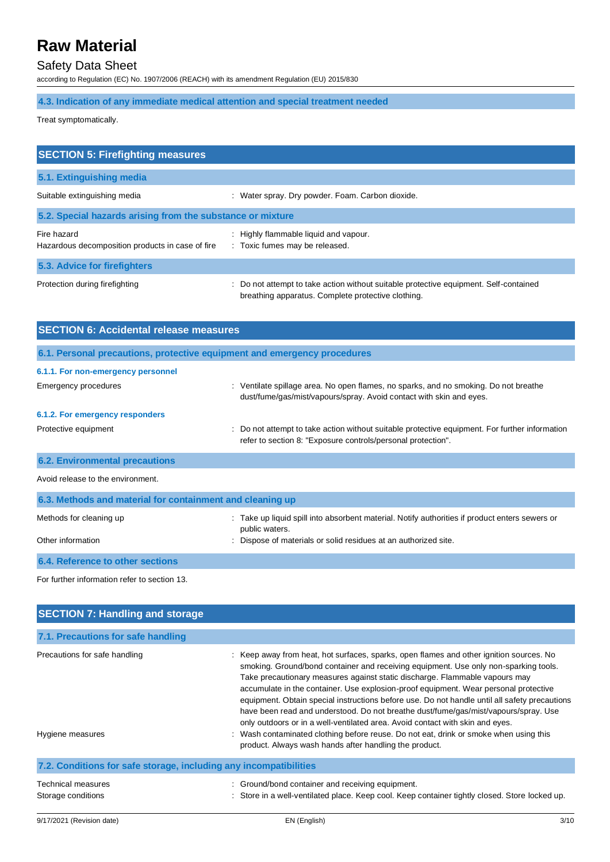## Safety Data Sheet

according to Regulation (EC) No. 1907/2006 (REACH) with its amendment Regulation (EU) 2015/830

## **4.3. Indication of any immediate medical attention and special treatment needed**

Treat symptomatically.

| <b>SECTION 5: Firefighting measures</b>                         |                                                                                                                                           |
|-----------------------------------------------------------------|-------------------------------------------------------------------------------------------------------------------------------------------|
| 5.1. Extinguishing media                                        |                                                                                                                                           |
| Suitable extinguishing media                                    | : Water spray. Dry powder. Foam. Carbon dioxide.                                                                                          |
| 5.2. Special hazards arising from the substance or mixture      |                                                                                                                                           |
| Fire hazard<br>Hazardous decomposition products in case of fire | : Highly flammable liquid and vapour.<br>: Toxic fumes may be released.                                                                   |
| 5.3. Advice for firefighters                                    |                                                                                                                                           |
| Protection during firefighting                                  | Do not attempt to take action without suitable protective equipment. Self-contained<br>breathing apparatus. Complete protective clothing. |

| <b>SECTION 6: Accidental release measures</b>                            |                                                                                                                                                                |
|--------------------------------------------------------------------------|----------------------------------------------------------------------------------------------------------------------------------------------------------------|
| 6.1. Personal precautions, protective equipment and emergency procedures |                                                                                                                                                                |
| 6.1.1. For non-emergency personnel                                       |                                                                                                                                                                |
| Emergency procedures                                                     | : Ventilate spillage area. No open flames, no sparks, and no smoking. Do not breathe<br>dust/fume/gas/mist/vapours/spray. Avoid contact with skin and eyes.    |
| 6.1.2. For emergency responders                                          |                                                                                                                                                                |
| Protective equipment                                                     | : Do not attempt to take action without suitable protective equipment. For further information<br>refer to section 8: "Exposure controls/personal protection". |
| <b>6.2. Environmental precautions</b>                                    |                                                                                                                                                                |
| Avoid release to the environment.                                        |                                                                                                                                                                |
| 6.3. Methods and material for containment and cleaning up                |                                                                                                                                                                |
| Methods for cleaning up                                                  | Take up liquid spill into absorbent material. Notify authorities if product enters sewers or<br>public waters.                                                 |
| Other information                                                        | Dispose of materials or solid residues at an authorized site.                                                                                                  |
| 6.4. Reference to other sections                                         |                                                                                                                                                                |
| For further information refer to section 13.                             |                                                                                                                                                                |
| <b>SECTION 7: Handling and storage</b>                                   |                                                                                                                                                                |

| 7.1. Precautions for safe handling                                |                                                                                                                                                                                                                                                                                                                                                                                                                                                                                                                                                                                                                                                                                                                                                                                    |
|-------------------------------------------------------------------|------------------------------------------------------------------------------------------------------------------------------------------------------------------------------------------------------------------------------------------------------------------------------------------------------------------------------------------------------------------------------------------------------------------------------------------------------------------------------------------------------------------------------------------------------------------------------------------------------------------------------------------------------------------------------------------------------------------------------------------------------------------------------------|
| Precautions for safe handling<br>Hygiene measures                 | : Keep away from heat, hot surfaces, sparks, open flames and other ignition sources. No<br>smoking. Ground/bond container and receiving equipment. Use only non-sparking tools.<br>Take precautionary measures against static discharge. Flammable vapours may<br>accumulate in the container. Use explosion-proof equipment. Wear personal protective<br>equipment. Obtain special instructions before use. Do not handle until all safety precautions<br>have been read and understood. Do not breathe dust/fume/gas/mist/vapours/spray. Use<br>only outdoors or in a well-ventilated area. Avoid contact with skin and eyes.<br>: Wash contaminated clothing before reuse. Do not eat, drink or smoke when using this<br>product. Always wash hands after handling the product. |
| 7.2. Conditions for safe storage, including any incompatibilities |                                                                                                                                                                                                                                                                                                                                                                                                                                                                                                                                                                                                                                                                                                                                                                                    |
| <b>Technical measures</b><br>Storage conditions                   | Ground/bond container and receiving equipment.<br>Store in a well-ventilated place. Keep cool. Keep container tightly closed. Store locked up.                                                                                                                                                                                                                                                                                                                                                                                                                                                                                                                                                                                                                                     |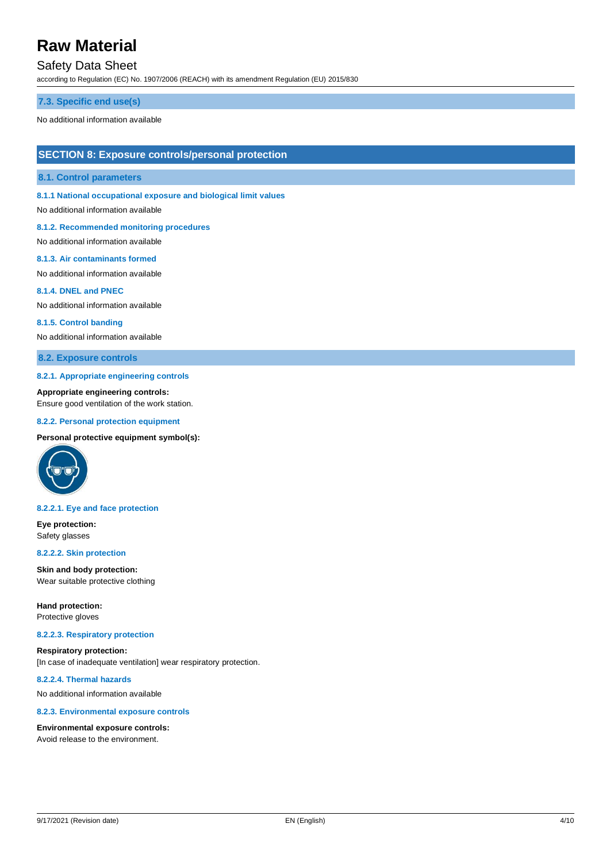## Safety Data Sheet

according to Regulation (EC) No. 1907/2006 (REACH) with its amendment Regulation (EU) 2015/830

#### **7.3. Specific end use(s)**

No additional information available

### **SECTION 8: Exposure controls/personal protection**

### **8.1. Control parameters**

**8.1.1 National occupational exposure and biological limit values**

No additional information available

#### **8.1.2. Recommended monitoring procedures**

No additional information available

#### **8.1.3. Air contaminants formed**

No additional information available

#### **8.1.4. DNEL and PNEC**

No additional information available

#### **8.1.5. Control banding**

No additional information available

### **8.2. Exposure controls**

#### **8.2.1. Appropriate engineering controls**

**Appropriate engineering controls:** Ensure good ventilation of the work station.

#### **8.2.2. Personal protection equipment**

#### **Personal protective equipment symbol(s):**



#### **8.2.2.1. Eye and face protection**

**Eye protection:** Safety glasses

#### **8.2.2.2. Skin protection**

**Skin and body protection:** Wear suitable protective clothing

**Hand protection:**

## Protective gloves

### **8.2.2.3. Respiratory protection**

**Respiratory protection:** [In case of inadequate ventilation] wear respiratory protection.

### **8.2.2.4. Thermal hazards**

No additional information available

#### **8.2.3. Environmental exposure controls**

#### **Environmental exposure controls:**

Avoid release to the environment.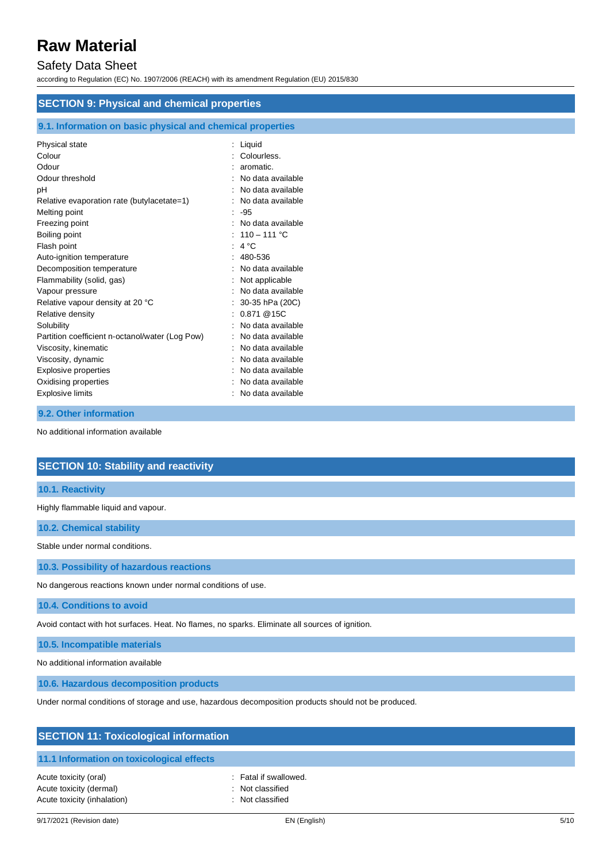## Safety Data Sheet

according to Regulation (EC) No. 1907/2006 (REACH) with its amendment Regulation (EU) 2015/830

| <b>SECTION 9: Physical and chemical properties</b>         |                     |  |
|------------------------------------------------------------|---------------------|--|
| 9.1. Information on basic physical and chemical properties |                     |  |
| Physical state                                             | : Liquid            |  |
| Colour                                                     | : Colourless.       |  |
| Odour                                                      | aromatic.           |  |
| Odour threshold                                            | No data available   |  |
| рH                                                         | No data available   |  |
| Relative evaporation rate (butylacetate=1)                 | No data available   |  |
| Melting point                                              | $: -95$             |  |
| Freezing point                                             | : No data available |  |
| Boiling point                                              | : $110 - 111$ °C    |  |
| Flash point                                                | : $4^{\circ}$ C     |  |
| Auto-ignition temperature                                  | 480-536             |  |
| Decomposition temperature                                  | No data available   |  |
| Flammability (solid, gas)                                  | Not applicable      |  |
| Vapour pressure                                            | No data available   |  |
| Relative vapour density at 20 °C                           | 30-35 hPa (20C)     |  |
| Relative density                                           | : 0.871@15C         |  |
| Solubility                                                 | No data available   |  |
| Partition coefficient n-octanol/water (Log Pow)            | No data available   |  |
| Viscosity, kinematic                                       | No data available   |  |
| Viscosity, dynamic                                         | No data available   |  |
| Explosive properties                                       | No data available   |  |
| Oxidising properties                                       | No data available   |  |

No additional information available

**9.2. Other information**

## **SECTION 10: Stability and reactivity**

## **10.1. Reactivity**

Highly flammable liquid and vapour.

**10.2. Chemical stability**

Stable under normal conditions.

**10.3. Possibility of hazardous reactions**

No dangerous reactions known under normal conditions of use.

Explosive limits **Explosive Limits Explosive Limits Explosive Limits Explosive Limits EXPLOSIVE 2018** 

**10.4. Conditions to avoid**

Avoid contact with hot surfaces. Heat. No flames, no sparks. Eliminate all sources of ignition.

**10.5. Incompatible materials**

No additional information available

**10.6. Hazardous decomposition products**

Under normal conditions of storage and use, hazardous decomposition products should not be produced.

| <b>SECTION 11: Toxicological information</b>                                    |                                                               |  |
|---------------------------------------------------------------------------------|---------------------------------------------------------------|--|
| 11.1 Information on toxicological effects                                       |                                                               |  |
| Acute toxicity (oral)<br>Acute toxicity (dermal)<br>Acute toxicity (inhalation) | : Fatal if swallowed.<br>: Not classified<br>: Not classified |  |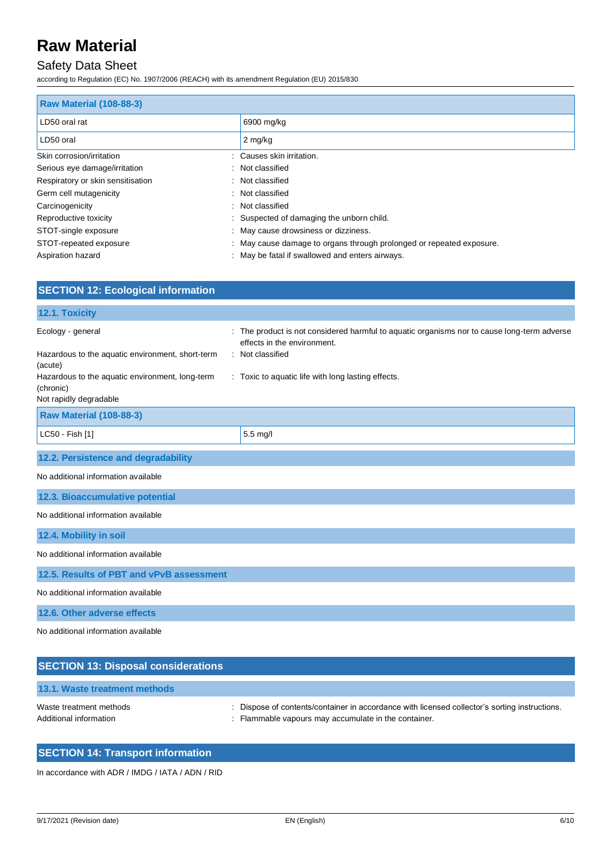## Safety Data Sheet

according to Regulation (EC) No. 1907/2006 (REACH) with its amendment Regulation (EU) 2015/830

| <b>Raw Material (108-88-3)</b>    |                                                                      |  |
|-----------------------------------|----------------------------------------------------------------------|--|
| LD50 oral rat                     | 6900 mg/kg                                                           |  |
| LD50 oral                         | 2 mg/kg                                                              |  |
| Skin corrosion/irritation         | : Causes skin irritation.                                            |  |
| Serious eye damage/irritation     | : Not classified                                                     |  |
| Respiratory or skin sensitisation | : Not classified                                                     |  |
| Germ cell mutagenicity            | : Not classified                                                     |  |
| Carcinogenicity                   | : Not classified                                                     |  |
| Reproductive toxicity             | : Suspected of damaging the unborn child.                            |  |
| STOT-single exposure              | : May cause drowsiness or dizziness.                                 |  |
| STOT-repeated exposure            | : May cause damage to organs through prolonged or repeated exposure. |  |
| Aspiration hazard                 | : May be fatal if swallowed and enters airways.                      |  |

| <b>SECTION 12: Ecological information</b>                    |                                                                                                                          |  |
|--------------------------------------------------------------|--------------------------------------------------------------------------------------------------------------------------|--|
| 12.1. Toxicity                                               |                                                                                                                          |  |
| Ecology - general                                            | The product is not considered harmful to aquatic organisms nor to cause long-term adverse<br>effects in the environment. |  |
| Hazardous to the aquatic environment, short-term<br>(acute)  | : Not classified                                                                                                         |  |
| Hazardous to the aquatic environment, long-term<br>(chronic) | : Toxic to aquatic life with long lasting effects.                                                                       |  |
| Not rapidly degradable                                       |                                                                                                                          |  |
| <b>Raw Material (108-88-3)</b>                               |                                                                                                                          |  |
| LC50 - Fish [1]                                              | $5.5$ mg/l                                                                                                               |  |
| 12.2. Persistence and degradability                          |                                                                                                                          |  |
| No additional information available                          |                                                                                                                          |  |
| 12.3. Bioaccumulative potential                              |                                                                                                                          |  |
| No additional information available                          |                                                                                                                          |  |
| 12.4. Mobility in soil                                       |                                                                                                                          |  |
| No additional information available                          |                                                                                                                          |  |
| 12.5. Results of PBT and vPvB assessment                     |                                                                                                                          |  |
| No additional information available                          |                                                                                                                          |  |
| 12.6. Other adverse effects                                  |                                                                                                                          |  |
| No additional information available                          |                                                                                                                          |  |

| <b>SECTION 13: Disposal considerations</b>        |                                                                                                                                                       |
|---------------------------------------------------|-------------------------------------------------------------------------------------------------------------------------------------------------------|
| 13.1. Waste treatment methods                     |                                                                                                                                                       |
| Waste treatment methods<br>Additional information | : Dispose of contents/container in accordance with licensed collector's sorting instructions.<br>: Flammable vapours may accumulate in the container. |

## **SECTION 14: Transport information**

In accordance with ADR / IMDG / IATA / ADN / RID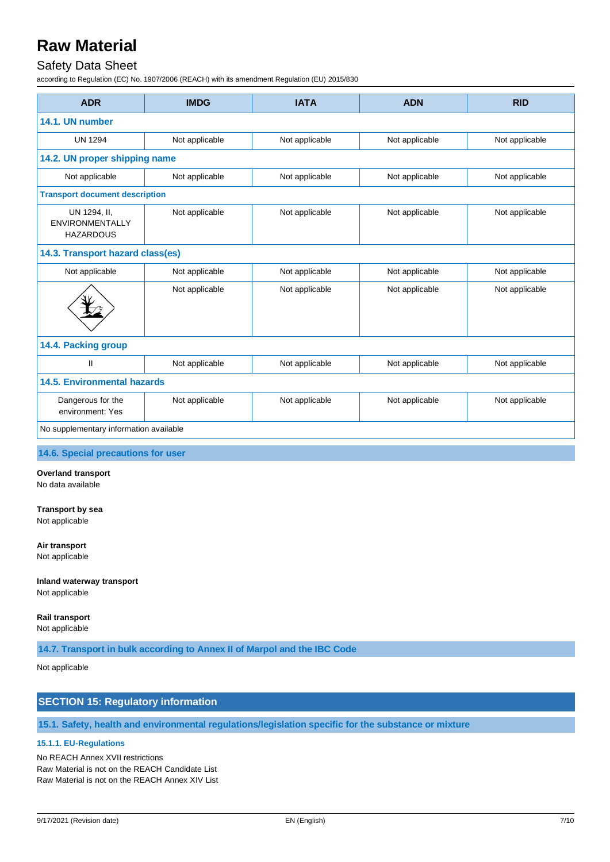## Safety Data Sheet

according to Regulation (EC) No. 1907/2006 (REACH) with its amendment Regulation (EU) 2015/830

| <b>ADR</b>                                                 | <b>IMDG</b>                      | <b>IATA</b>    | <b>ADN</b>     | <b>RID</b>     |
|------------------------------------------------------------|----------------------------------|----------------|----------------|----------------|
| 14.1. UN number                                            |                                  |                |                |                |
| <b>UN 1294</b>                                             | Not applicable                   | Not applicable | Not applicable | Not applicable |
| 14.2. UN proper shipping name                              |                                  |                |                |                |
| Not applicable                                             | Not applicable                   | Not applicable | Not applicable | Not applicable |
| <b>Transport document description</b>                      |                                  |                |                |                |
| UN 1294, II,<br><b>ENVIRONMENTALLY</b><br><b>HAZARDOUS</b> | Not applicable                   | Not applicable | Not applicable | Not applicable |
|                                                            | 14.3. Transport hazard class(es) |                |                |                |
| Not applicable                                             | Not applicable                   | Not applicable | Not applicable | Not applicable |
|                                                            | Not applicable                   | Not applicable | Not applicable | Not applicable |
| 14.4. Packing group                                        |                                  |                |                |                |
| $\mathbf{I}$                                               | Not applicable                   | Not applicable | Not applicable | Not applicable |
| 14.5. Environmental hazards                                |                                  |                |                |                |
| Dangerous for the<br>environment: Yes                      | Not applicable                   | Not applicable | Not applicable | Not applicable |
| No supplementary information available                     |                                  |                |                |                |

**14.6. Special precautions for user**

#### **Overland transport**

No data available

#### **Transport by sea**

Not applicable

#### **Air transport**

Not applicable

#### **Inland waterway transport**

Not applicable

## **Rail transport**

Not applicable

**14.7. Transport in bulk according to Annex II of Marpol and the IBC Code**

### Not applicable

## **SECTION 15: Regulatory information**

**15.1. Safety, health and environmental regulations/legislation specific for the substance or mixture**

## **15.1.1. EU-Regulations**

No REACH Annex XVII restrictions Raw Material is not on the REACH Candidate List Raw Material is not on the REACH Annex XIV List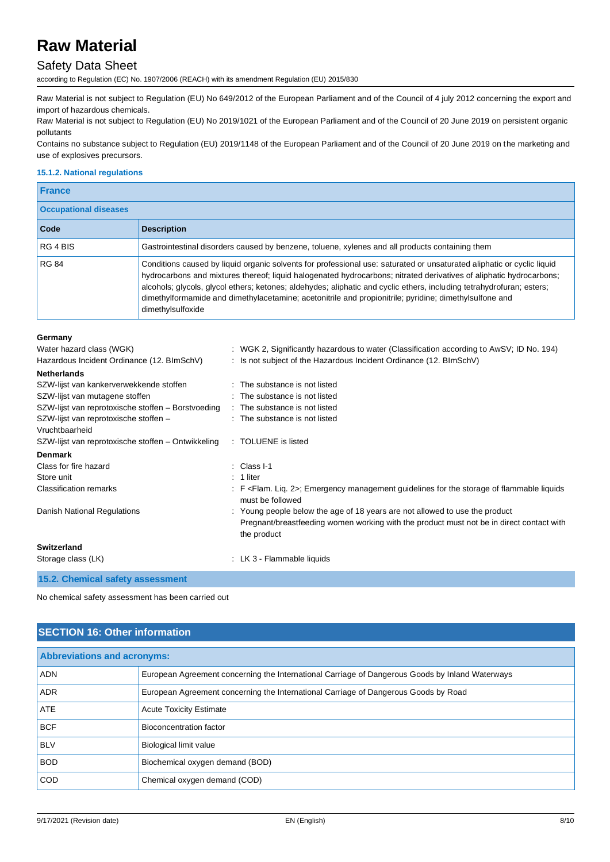## Safety Data Sheet

according to Regulation (EC) No. 1907/2006 (REACH) with its amendment Regulation (EU) 2015/830

Raw Material is not subject to Regulation (EU) No 649/2012 of the European Parliament and of the Council of 4 july 2012 concerning the export and import of hazardous chemicals.

Raw Material is not subject to Regulation (EU) No 2019/1021 of the European Parliament and of the Council of 20 June 2019 on persistent organic pollutants

Contains no substance subject to Regulation (EU) 2019/1148 of the European Parliament and of the Council of 20 June 2019 on the marketing and use of explosives precursors.

### **15.1.2. National regulations**

| <b>France</b>                |                                                                                                                                                                                                                                                                                                                                                                                                                                                                                                       |  |
|------------------------------|-------------------------------------------------------------------------------------------------------------------------------------------------------------------------------------------------------------------------------------------------------------------------------------------------------------------------------------------------------------------------------------------------------------------------------------------------------------------------------------------------------|--|
| <b>Occupational diseases</b> |                                                                                                                                                                                                                                                                                                                                                                                                                                                                                                       |  |
| Code                         | <b>Description</b>                                                                                                                                                                                                                                                                                                                                                                                                                                                                                    |  |
| RG 4 BIS                     | Gastrointestinal disorders caused by benzene, toluene, xylenes and all products containing them                                                                                                                                                                                                                                                                                                                                                                                                       |  |
| <b>RG 84</b>                 | Conditions caused by liquid organic solvents for professional use: saturated or unsaturated aliphatic or cyclic liquid<br>hydrocarbons and mixtures thereof; liquid halogenated hydrocarbons; nitrated derivatives of aliphatic hydrocarbons;<br>alcohols; glycols, glycol ethers; ketones; aldehydes; aliphatic and cyclic ethers, including tetrahydrofuran; esters;<br>dimethylformamide and dimethylacetamine; acetonitrile and propionitrile; pyridine; dimethylsulfone and<br>dimethylsulfoxide |  |

#### **Germany**

| Water hazard class (WGK)                                | : WGK 2, Significantly hazardous to water (Classification according to AwSV; ID No. 194)                                                                                               |
|---------------------------------------------------------|----------------------------------------------------------------------------------------------------------------------------------------------------------------------------------------|
| Hazardous Incident Ordinance (12. BImSchV)              | : Is not subject of the Hazardous Incident Ordinance (12. BImSchV)                                                                                                                     |
| <b>Netherlands</b>                                      |                                                                                                                                                                                        |
| SZW-lijst van kankerverwekkende stoffen                 | : The substance is not listed                                                                                                                                                          |
| SZW-lijst van mutagene stoffen                          | : The substance is not listed                                                                                                                                                          |
| SZW-lijst van reprotoxische stoffen - Borstvoeding      | : The substance is not listed                                                                                                                                                          |
| SZW-lijst van reprotoxische stoffen -<br>Vruchtbaarheid | : The substance is not listed                                                                                                                                                          |
| SZW-lijst van reprotoxische stoffen – Ontwikkeling      | : TOLUENE is listed                                                                                                                                                                    |
| <b>Denmark</b>                                          |                                                                                                                                                                                        |
| Class for fire hazard                                   | $\therefore$ Class I-1                                                                                                                                                                 |
| Store unit                                              | $: 1$ liter                                                                                                                                                                            |
| <b>Classification remarks</b>                           | : F <flam. 2="" lig.="">; Emergency management guidelines for the storage of flammable liquids<br/>must be followed</flam.>                                                            |
| <b>Danish National Regulations</b>                      | : Young people below the age of 18 years are not allowed to use the product<br>Pregnant/breastfeeding women working with the product must not be in direct contact with<br>the product |
| <b>Switzerland</b>                                      |                                                                                                                                                                                        |
| Storage class (LK)                                      | : LK 3 - Flammable liquids                                                                                                                                                             |
| $AE$ $Q$ Chamical octatus accessoment                   |                                                                                                                                                                                        |

**15.2. Chemical safety assessment**

No chemical safety assessment has been carried out

## **SECTION 16: Other information**

| <b>Abbreviations and acronyms:</b> |                                                                                                 |  |
|------------------------------------|-------------------------------------------------------------------------------------------------|--|
| <b>ADN</b>                         | European Agreement concerning the International Carriage of Dangerous Goods by Inland Waterways |  |
| <b>ADR</b>                         | European Agreement concerning the International Carriage of Dangerous Goods by Road             |  |
| ATE                                | <b>Acute Toxicity Estimate</b>                                                                  |  |
| <b>BCF</b>                         | Bioconcentration factor                                                                         |  |
| <b>BLV</b>                         | <b>Biological limit value</b>                                                                   |  |
| <b>BOD</b>                         | Biochemical oxygen demand (BOD)                                                                 |  |
| <b>COD</b>                         | Chemical oxygen demand (COD)                                                                    |  |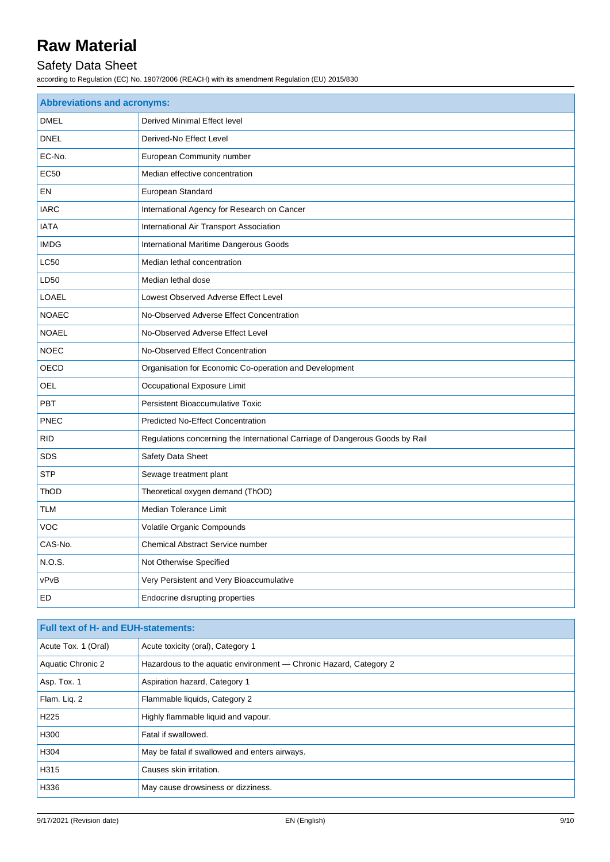## Safety Data Sheet

according to Regulation (EC) No. 1907/2006 (REACH) with its amendment Regulation (EU) 2015/830

| <b>Abbreviations and acronyms:</b> |                                                                              |  |
|------------------------------------|------------------------------------------------------------------------------|--|
| <b>DMEL</b>                        | Derived Minimal Effect level                                                 |  |
| <b>DNEL</b>                        | Derived-No Effect Level                                                      |  |
| EC-No.                             | European Community number                                                    |  |
| <b>EC50</b>                        | Median effective concentration                                               |  |
| EN                                 | European Standard                                                            |  |
| <b>IARC</b>                        | International Agency for Research on Cancer                                  |  |
| <b>IATA</b>                        | International Air Transport Association                                      |  |
| <b>IMDG</b>                        | International Maritime Dangerous Goods                                       |  |
| <b>LC50</b>                        | Median lethal concentration                                                  |  |
| LD50                               | Median lethal dose                                                           |  |
| LOAEL                              | Lowest Observed Adverse Effect Level                                         |  |
| <b>NOAEC</b>                       | No-Observed Adverse Effect Concentration                                     |  |
| <b>NOAEL</b>                       | No-Observed Adverse Effect Level                                             |  |
| <b>NOEC</b>                        | No-Observed Effect Concentration                                             |  |
| OECD                               | Organisation for Economic Co-operation and Development                       |  |
| OEL                                | Occupational Exposure Limit                                                  |  |
| <b>PBT</b>                         | Persistent Bioaccumulative Toxic                                             |  |
| PNEC                               | Predicted No-Effect Concentration                                            |  |
| <b>RID</b>                         | Regulations concerning the International Carriage of Dangerous Goods by Rail |  |
| SDS                                | Safety Data Sheet                                                            |  |
| <b>STP</b>                         | Sewage treatment plant                                                       |  |
| ThOD                               | Theoretical oxygen demand (ThOD)                                             |  |
| <b>TLM</b>                         | Median Tolerance Limit                                                       |  |
| <b>VOC</b>                         | Volatile Organic Compounds                                                   |  |
| CAS-No.                            | <b>Chemical Abstract Service number</b>                                      |  |
| N.O.S.                             | Not Otherwise Specified                                                      |  |
| vPvB                               | Very Persistent and Very Bioaccumulative                                     |  |
| ED                                 | Endocrine disrupting properties                                              |  |

| <b>Full text of H- and EUH-statements:</b> |                                                                   |  |
|--------------------------------------------|-------------------------------------------------------------------|--|
| Acute Tox. 1 (Oral)                        | Acute toxicity (oral), Category 1                                 |  |
| <b>Aquatic Chronic 2</b>                   | Hazardous to the aquatic environment - Chronic Hazard, Category 2 |  |
| Asp. Tox. 1                                | Aspiration hazard, Category 1                                     |  |
| Flam. Lig. 2                               | Flammable liquids, Category 2                                     |  |
| H <sub>225</sub>                           | Highly flammable liquid and vapour.                               |  |
| H300                                       | Fatal if swallowed.                                               |  |
| H304                                       | May be fatal if swallowed and enters airways.                     |  |
| H315                                       | Causes skin irritation.                                           |  |
| H336                                       | May cause drowsiness or dizziness.                                |  |